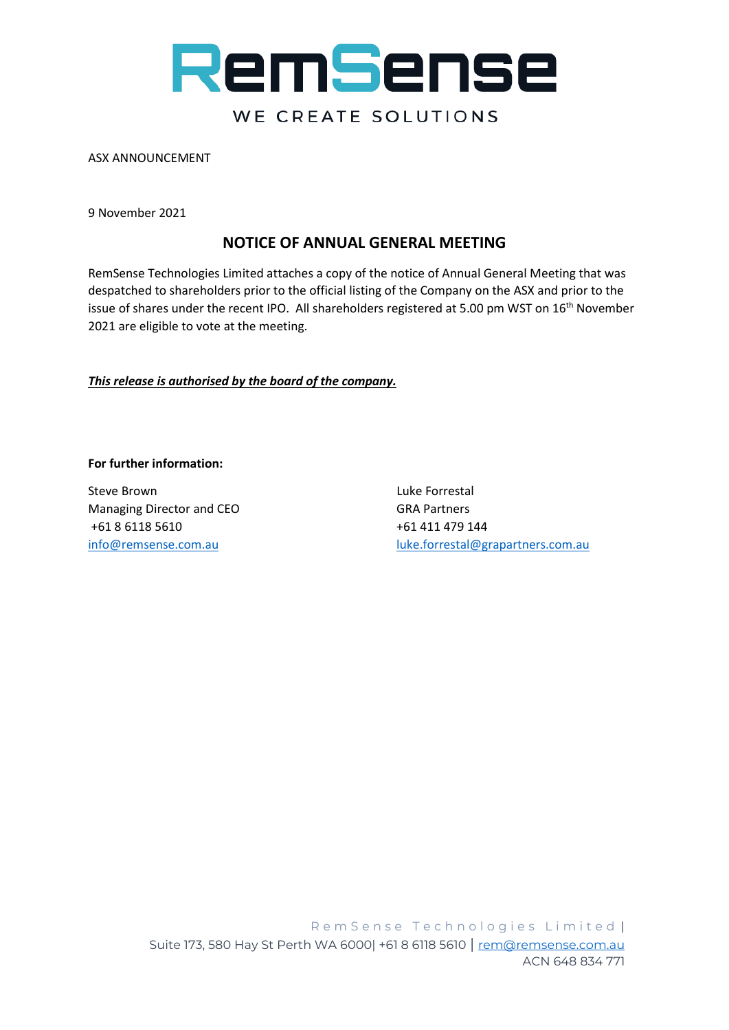

ASX ANNOUNCEMENT

9 November 2021

# **NOTICE OF ANNUAL GENERAL MEETING**

RemSense Technologies Limited attaches a copy of the notice of Annual General Meeting that was despatched to shareholders prior to the official listing of the Company on the ASX and prior to the issue of shares under the recent IPO. All shareholders registered at 5.00 pm WST on 16<sup>th</sup> November 2021 are eligible to vote at the meeting.

*This release is authorised by the board of the company.*

#### **For further information:**

Steve Brown Luke Forrestal Managing Director and CEO GRA Partners +61 8 6118 5610 +61 411 479 144

[info@remsense.com.au](mailto:info@remsense.com.au) [luke.forrestal@grapartners.com.au](mailto:luke.forrestal@grapartners.com.au)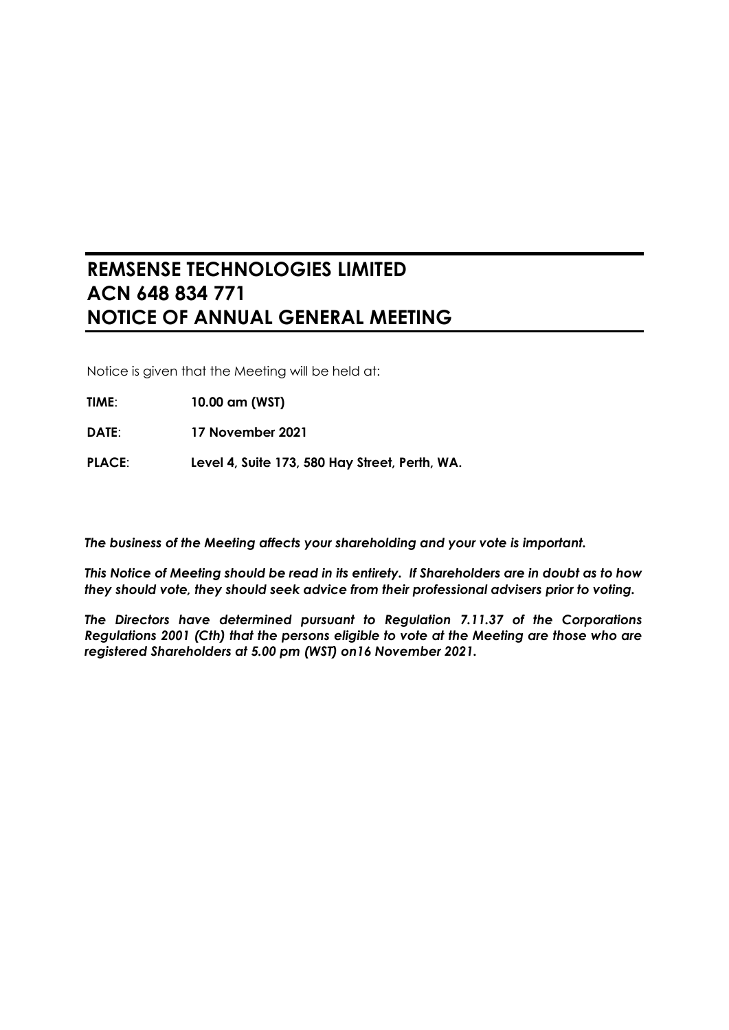# **REMSENSE TECHNOLOGIES LIMITED ACN 648 834 771 NOTICE OF ANNUAL GENERAL MEETING**

Notice is given that the Meeting will be held at:

- **TIME**: **10.00 am (WST)**
- **DATE**: **17 November 2021**
- **PLACE**: **Level 4, Suite 173, 580 Hay Street, Perth, WA.**

*The business of the Meeting affects your shareholding and your vote is important.*

*This Notice of Meeting should be read in its entirety. If Shareholders are in doubt as to how they should vote, they should seek advice from their professional advisers prior to voting.*

*The Directors have determined pursuant to Regulation 7.11.37 of the Corporations Regulations 2001 (Cth) that the persons eligible to vote at the Meeting are those who are registered Shareholders at 5.00 pm (WST) on16 November 2021.*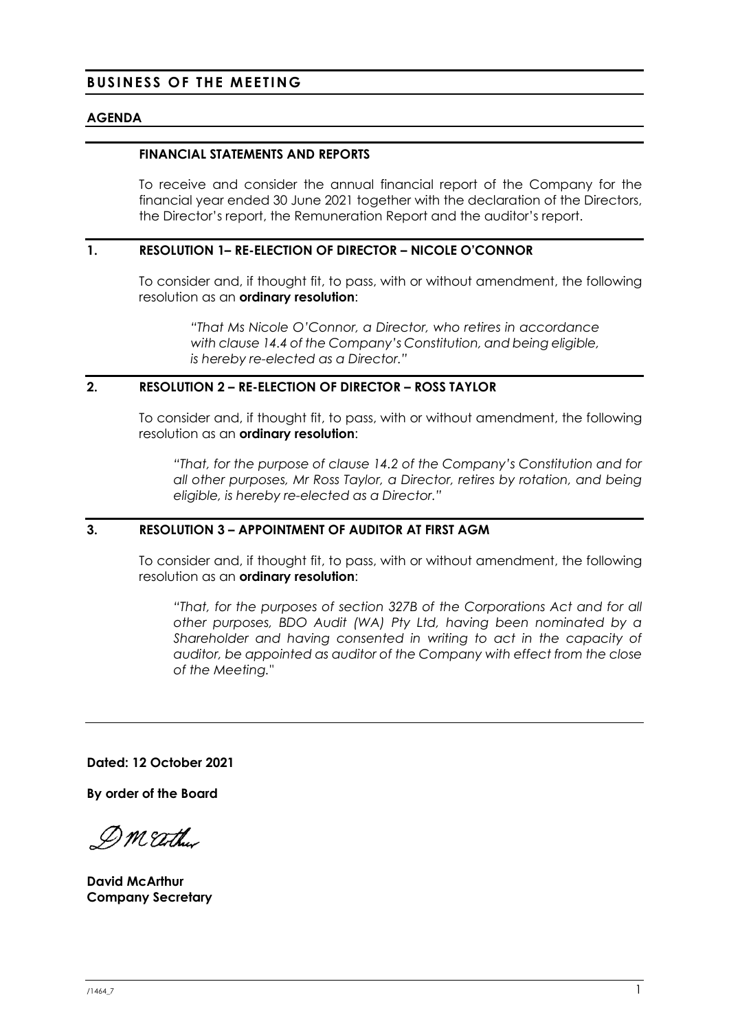## **BUSINESS OF THE MEETING**

#### **AGENDA**

#### **FINANCIAL STATEMENTS AND REPORTS**

To receive and consider the annual financial report of the Company for the financial year ended 30 June 2021 together with the declaration of the Directors, the Director's report, the Remuneration Report and the auditor's report.

## **1. RESOLUTION 1– RE-ELECTION OF DIRECTOR – NICOLE O'CONNOR**

To consider and, if thought fit, to pass, with or without amendment, the following resolution as an **ordinary resolution**:

*"That Ms Nicole O'Connor, a Director, who retires in accordance with clause 14.4 of the Company's Constitution, and being eligible, is hereby re-elected as a Director."*

## <span id="page-2-0"></span>**2. RESOLUTION [2](#page-2-0) – RE-ELECTION OF DIRECTOR – ROSS TAYLOR**

To consider and, if thought fit, to pass, with or without amendment, the following resolution as an **ordinary resolution**:

*"That, for the purpose of clause 14.2 of the Company's Constitution and for all other purposes, Mr Ross Taylor, a Director, retires by rotation, and being eligible, is hereby re-elected as a Director."*

## <span id="page-2-1"></span>**3. RESOLUTION [3](#page-2-1) – APPOINTMENT OF AUDITOR AT FIRST AGM**

To consider and, if thought fit, to pass, with or without amendment, the following resolution as an **ordinary resolution**:

*"That, for the purposes of section 327B of the Corporations Act and for all other purposes, BDO Audit (WA) Pty Ltd, having been nominated by a Shareholder and having consented in writing to act in the capacity of auditor, be appointed as auditor of the Company with effect from the close of the Meeting."*

**Dated: 12 October 2021**

**By order of the Board**

DM Eather

**David McArthur Company Secretary**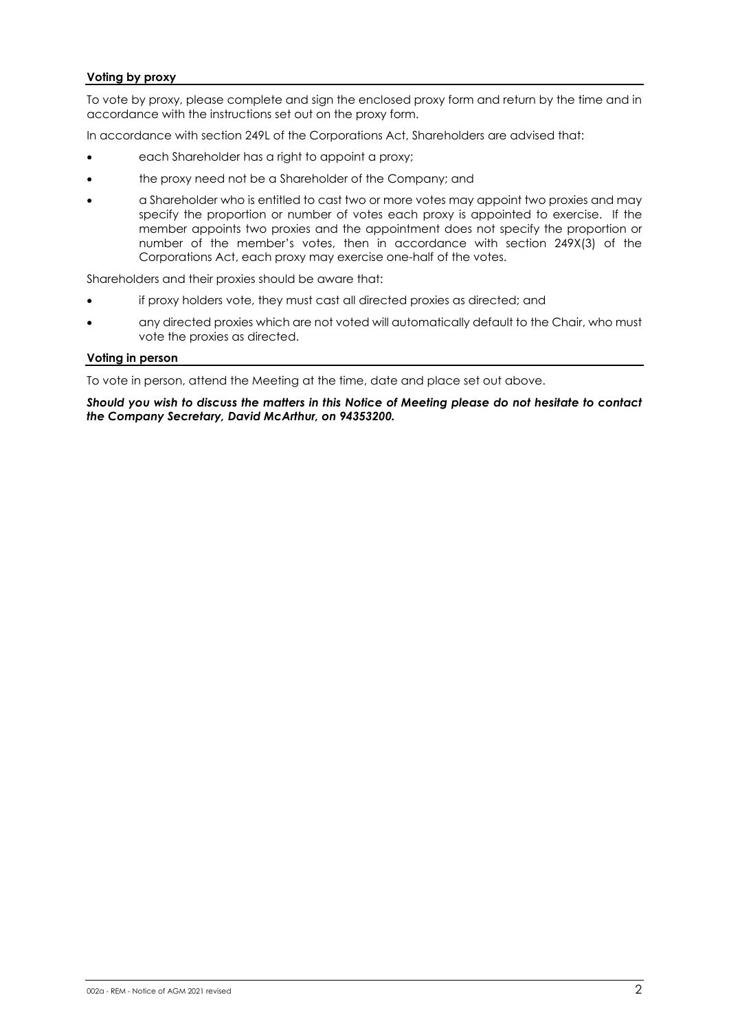#### **Voting by proxy**

To vote by proxy, please complete and sign the enclosed proxy form and return by the time and in accordance with the instructions set out on the proxy form.

In accordance with section 249L of the Corporations Act, Shareholders are advised that:

- each Shareholder has a right to appoint a proxy;
- the proxy need not be a Shareholder of the Company; and
- a Shareholder who is entitled to cast two or more votes may appoint two proxies and may specify the proportion or number of votes each proxy is appointed to exercise. If the member appoints two proxies and the appointment does not specify the proportion or number of the member's votes, then in accordance with section 249X(3) of the Corporations Act, each proxy may exercise one-half of the votes.

Shareholders and their proxies should be aware that:

- if proxy holders vote, they must cast all directed proxies as directed; and
- any directed proxies which are not voted will automatically default to the Chair, who must vote the proxies as directed.

#### **Voting in person**

To vote in person, attend the Meeting at the time, date and place set out above.

*Should you wish to discuss the matters in this Notice of Meeting please do not hesitate to contact the Company Secretary, David McArthur, on 94353200.*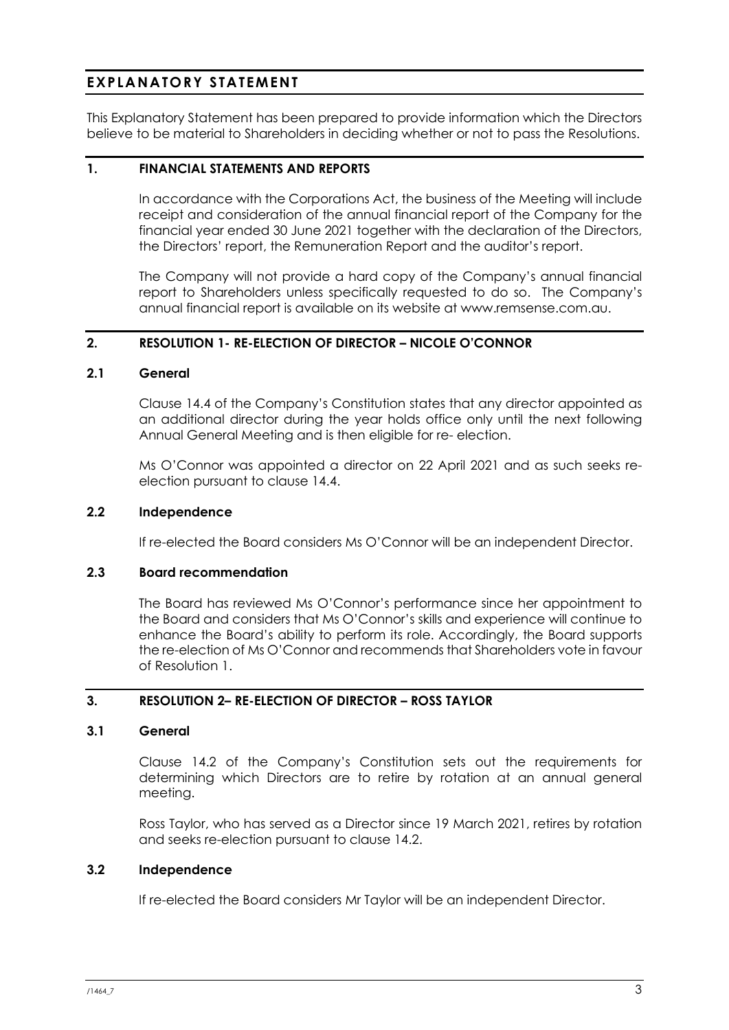# **EXPLANATORY STATEMENT**

This Explanatory Statement has been prepared to provide information which the Directors believe to be material to Shareholders in deciding whether or not to pass the Resolutions.

## **1. FINANCIAL STATEMENTS AND REPORTS**

In accordance with the Corporations Act, the business of the Meeting will include receipt and consideration of the annual financial report of the Company for the financial year ended 30 June 2021 together with the declaration of the Directors, the Directors' report, the Remuneration Report and the auditor's report.

The Company will not provide a hard copy of the Company's annual financial report to Shareholders unless specifically requested to do so. The Company's annual financial report is available on its website at www.remsense.com.au.

## **2. RESOLUTION 1- RE-ELECTION OF DIRECTOR – NICOLE O'CONNOR**

## **2.1 General**

Clause 14.4 of the Company's Constitution states that any director appointed as an additional director during the year holds office only until the next following Annual General Meeting and is then eligible for re- election.

Ms O'Connor was appointed a director on 22 April 2021 and as such seeks reelection pursuant to clause 14.4.

## **2.2 Independence**

If re-elected the Board considers Ms O'Connor will be an independent Director.

## **2.3 Board recommendation**

The Board has reviewed Ms O'Connor's performance since her appointment to the Board and considers that Ms O'Connor's skills and experience will continue to enhance the Board's ability to perform its role. Accordingly, the Board supports the re-election of Ms O'Connor and recommends that Shareholders vote in favour of Resolution 1.

## **3. RESOLUTION 2– RE-ELECTION OF DIRECTOR – ROSS TAYLOR**

## **3.1 General**

Clause 14.2 of the Company's Constitution sets out the requirements for determining which Directors are to retire by rotation at an annual general meeting.

Ross Taylor, who has served as a Director since 19 March 2021, retires by rotation and seeks re-election pursuant to clause 14.2.

## **3.2 Independence**

If re-elected the Board considers Mr Taylor will be an independent Director.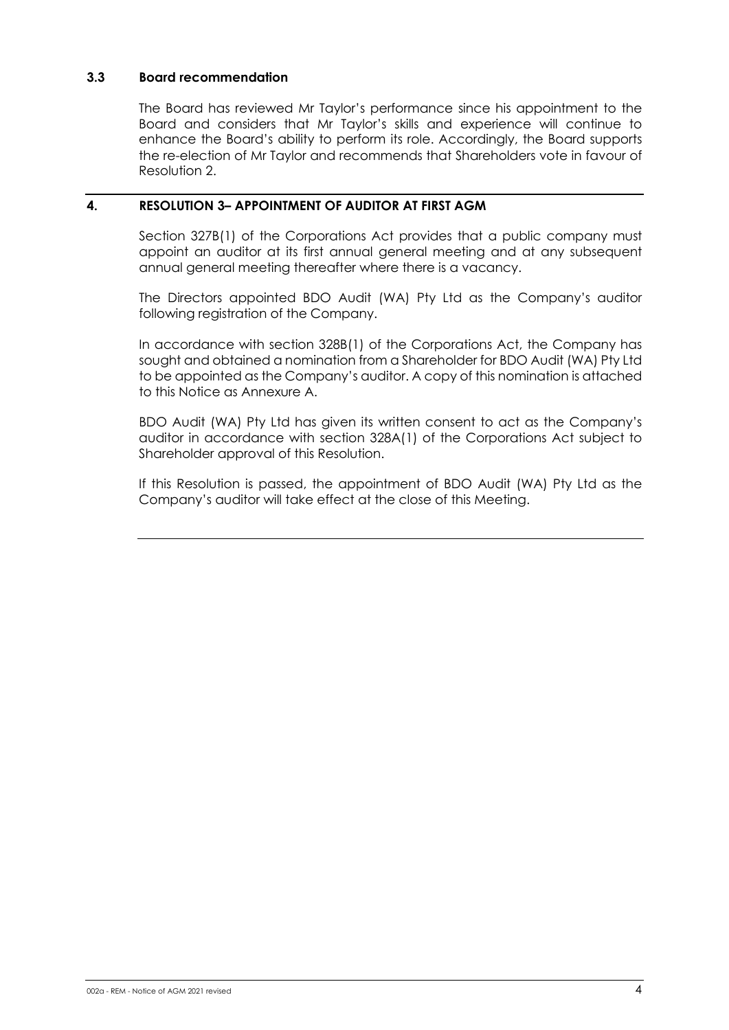## **3.3 Board recommendation**

The Board has reviewed Mr Taylor's performance since his appointment to the Board and considers that Mr Taylor's skills and experience will continue to enhance the Board's ability to perform its role. Accordingly, the Board supports the re-election of Mr Taylor and recommends that Shareholders vote in favour of Resolution 2.

## **4. RESOLUTION 3– APPOINTMENT OF AUDITOR AT FIRST AGM**

Section 327B(1) of the Corporations Act provides that a public company must appoint an auditor at its first annual general meeting and at any subsequent annual general meeting thereafter where there is a vacancy.

The Directors appointed BDO Audit (WA) Pty Ltd as the Company's auditor following registration of the Company.

In accordance with section 328B(1) of the Corporations Act, the Company has sought and obtained a nomination from a Shareholder for BDO Audit (WA) Pty Ltd to be appointed as the Company's auditor. A copy of this nomination is attached to this Notice as Annexure A.

BDO Audit (WA) Pty Ltd has given its written consent to act as the Company's auditor in accordance with section 328A(1) of the Corporations Act subject to Shareholder approval of this Resolution.

If this Resolution is passed, the appointment of BDO Audit (WA) Pty Ltd as the Company's auditor will take effect at the close of this Meeting.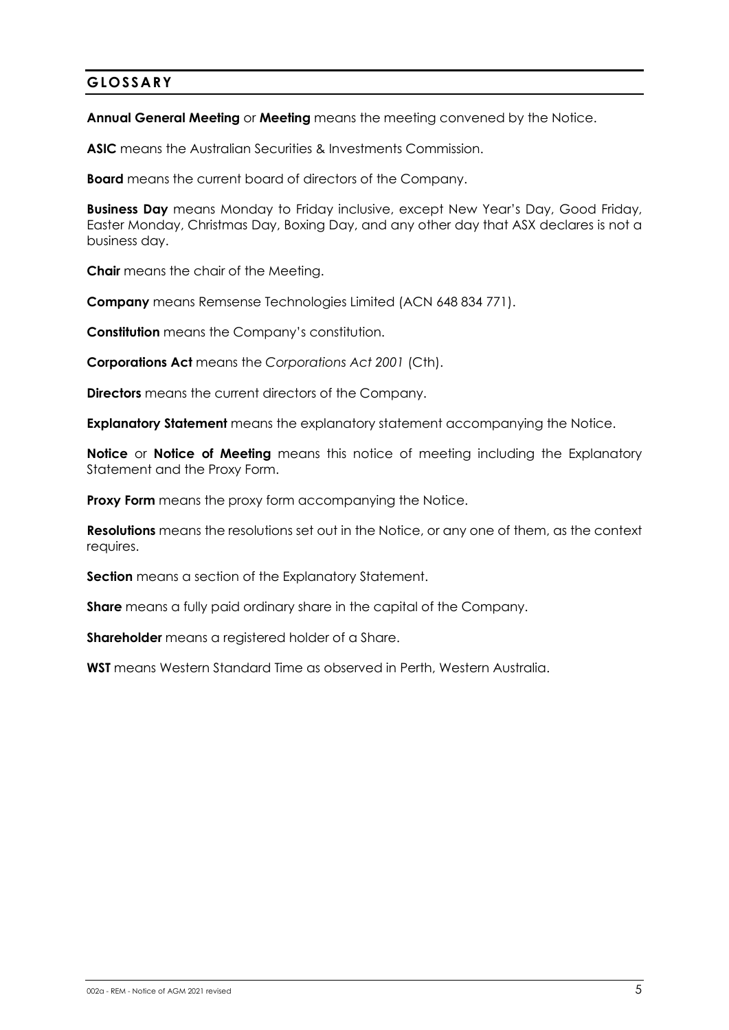# **GLOSSARY**

**Annual General Meeting** or **Meeting** means the meeting convened by the Notice.

**ASIC** means the Australian Securities & Investments Commission.

**Board** means the current board of directors of the Company.

**Business Day** means Monday to Friday inclusive, except New Year's Day, Good Friday, Easter Monday, Christmas Day, Boxing Day, and any other day that ASX declares is not a business day.

**Chair** means the chair of the Meeting.

**Company** means Remsense Technologies Limited (ACN 648 834 771).

**Constitution** means the Company's constitution.

**Corporations Act** means the *Corporations Act 2001* (Cth).

**Directors** means the current directors of the Company.

**Explanatory Statement** means the explanatory statement accompanying the Notice.

**Notice** or **Notice of Meeting** means this notice of meeting including the Explanatory Statement and the Proxy Form.

**Proxy Form** means the proxy form accompanying the Notice.

**Resolutions** means the resolutions set out in the Notice, or any one of them, as the context requires.

**Section** means a section of the Explanatory Statement.

**Share** means a fully paid ordinary share in the capital of the Company.

**Shareholder** means a registered holder of a Share.

**WST** means Western Standard Time as observed in Perth, Western Australia.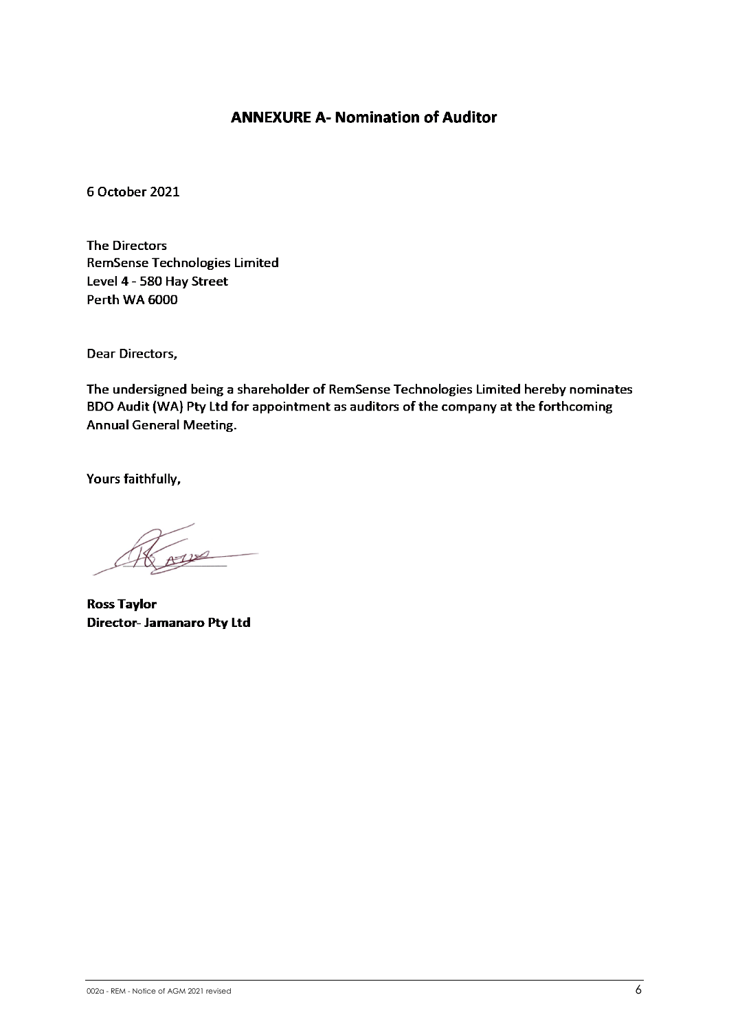# **ANNEXURE A- Nomination of Auditor**

6 October 2021

**The Directors RemSense Technologies Limited** Level 4 - 580 Hay Street Perth WA 6000

Dear Directors,

The undersigned being a shareholder of RemSense Technologies Limited hereby nominates BDO Audit (WA) Pty Ltd for appointment as auditors of the company at the forthcoming **Annual General Meeting.** 

Yours faithfully,

 $\mathcal{U}$ 

**Ross Taylor** Director- Jamanaro Pty Ltd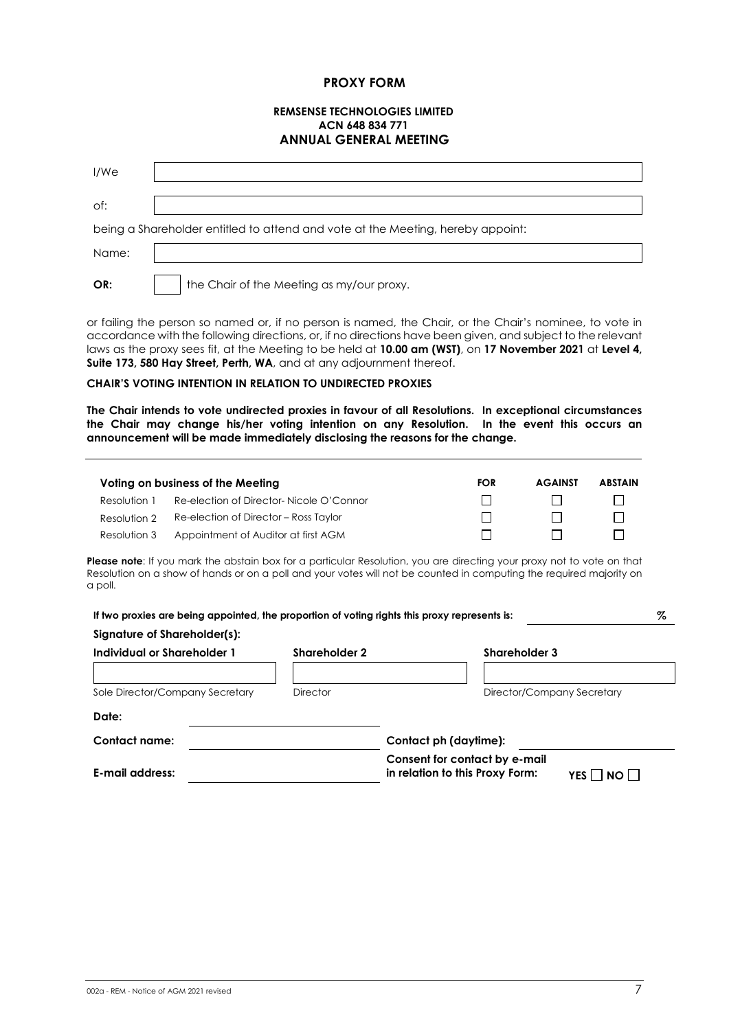#### **PROXY FORM**

#### **REMSENSE TECHNOLOGIES LIMITED ACN 648 834 771 ANNUAL GENERAL MEETING**

| I/We  |                                                                                 |
|-------|---------------------------------------------------------------------------------|
| of:   |                                                                                 |
|       | being a Shareholder entitled to attend and vote at the Meeting, hereby appoint: |
| Name: |                                                                                 |
| OR:   | the Chair of the Meeting as my/our proxy.                                       |

or failing the person so named or, if no person is named, the Chair, or the Chair's nominee, to vote in accordance with the following directions, or, if no directions have been given, and subject to the relevant laws as the proxy sees fit, at the Meeting to be held at **10.00 am (WST)**, on **17 November 2021** at **Level 4, Suite 173, 580 Hay Street, Perth, WA**, and at any adjournment thereof.

#### **CHAIR'S VOTING INTENTION IN RELATION TO UNDIRECTED PROXIES**

**The Chair intends to vote undirected proxies in favour of all Resolutions. In exceptional circumstances the Chair may change his/her voting intention on any Resolution. In the event this occurs an announcement will be made immediately disclosing the reasons for the change.**

|              | Voting on business of the Meeting        | <b>FOR</b> | <b>AGAINST</b> | <b>ABSTAIN</b> |
|--------------|------------------------------------------|------------|----------------|----------------|
| Resolution 1 | Re-election of Director- Nicole O'Connor |            |                |                |
| Resolution 2 | Re-election of Director – Ross Taylor    |            |                |                |
| Resolution 3 | Appointment of Auditor at first AGM      |            |                |                |

Please note: If you mark the abstain box for a particular Resolution, you are directing your proxy not to vote on that Resolution on a show of hands or on a poll and your votes will not be counted in computing the required majority on a poll.

| If two proxies are being appointed, the proportion of voting rights this proxy represents is:<br>Signature of Shareholder(s): |                      | %                                                                        |  |  |
|-------------------------------------------------------------------------------------------------------------------------------|----------------------|--------------------------------------------------------------------------|--|--|
| Individual or Shareholder 1                                                                                                   | <b>Shareholder 2</b> | <b>Shareholder 3</b>                                                     |  |  |
| Sole Director/Company Secretary                                                                                               | <b>Director</b>      | Director/Company Secretary                                               |  |  |
| Date:                                                                                                                         |                      |                                                                          |  |  |
| Contact name:                                                                                                                 |                      | Contact ph (daytime):                                                    |  |  |
| E-mail address:                                                                                                               |                      | Consent for contact by e-mail<br>in relation to this Proxy Form:<br>NO I |  |  |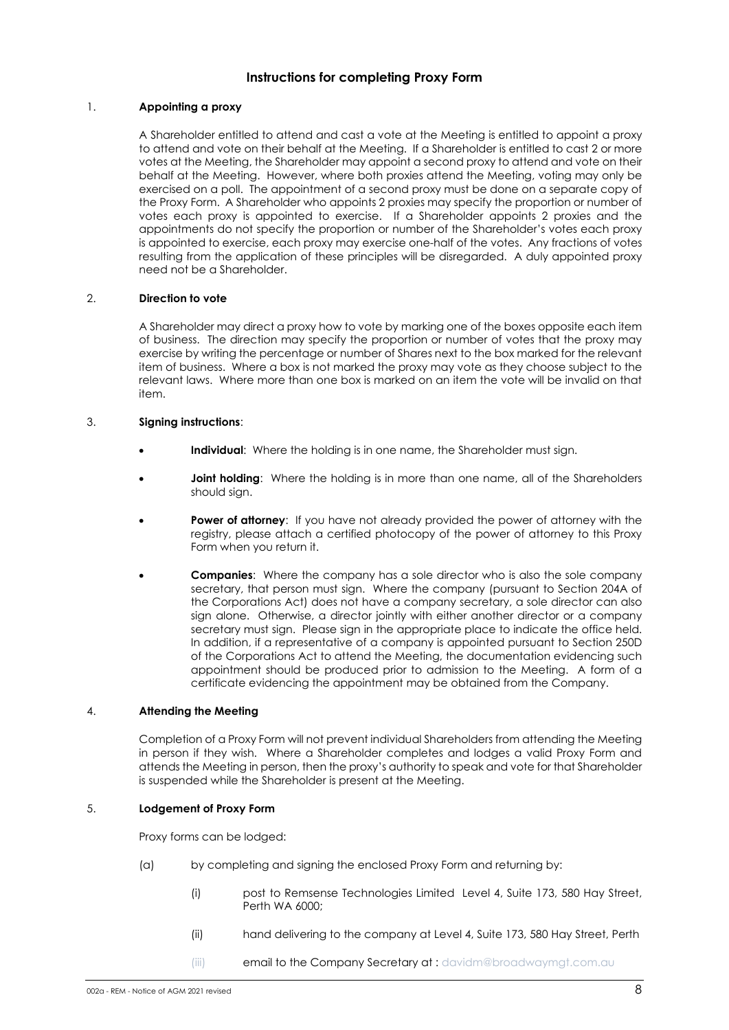#### **Instructions for completing Proxy Form**

#### 1. **Appointing a proxy**

A Shareholder entitled to attend and cast a vote at the Meeting is entitled to appoint a proxy to attend and vote on their behalf at the Meeting. If a Shareholder is entitled to cast 2 or more votes at the Meeting, the Shareholder may appoint a second proxy to attend and vote on their behalf at the Meeting. However, where both proxies attend the Meeting, voting may only be exercised on a poll. The appointment of a second proxy must be done on a separate copy of the Proxy Form. A Shareholder who appoints 2 proxies may specify the proportion or number of votes each proxy is appointed to exercise. If a Shareholder appoints 2 proxies and the appointments do not specify the proportion or number of the Shareholder's votes each proxy is appointed to exercise, each proxy may exercise one-half of the votes. Any fractions of votes resulting from the application of these principles will be disregarded. A duly appointed proxy need not be a Shareholder.

#### 2. **Direction to vote**

A Shareholder may direct a proxy how to vote by marking one of the boxes opposite each item of business. The direction may specify the proportion or number of votes that the proxy may exercise by writing the percentage or number of Shares next to the box marked for the relevant item of business. Where a box is not marked the proxy may vote as they choose subject to the relevant laws. Where more than one box is marked on an item the vote will be invalid on that item.

#### 3. **Signing instructions**:

- **Individual:** Where the holding is in one name, the Shareholder must sign.
- **Joint holding**: Where the holding is in more than one name, all of the Shareholders should sign.
- **Power of attorney:** If you have not already provided the power of attorney with the registry, please attach a certified photocopy of the power of attorney to this Proxy Form when you return it.
- **Companies**: Where the company has a sole director who is also the sole company secretary, that person must sign. Where the company (pursuant to Section 204A of the Corporations Act) does not have a company secretary, a sole director can also sign alone. Otherwise, a director jointly with either another director or a company secretary must sign. Please sign in the appropriate place to indicate the office held. In addition, if a representative of a company is appointed pursuant to Section 250D of the Corporations Act to attend the Meeting, the documentation evidencing such appointment should be produced prior to admission to the Meeting. A form of a certificate evidencing the appointment may be obtained from the Company.

#### 4. **Attending the Meeting**

Completion of a Proxy Form will not prevent individual Shareholders from attending the Meeting in person if they wish. Where a Shareholder completes and lodges a valid Proxy Form and attends the Meeting in person, then the proxy's authority to speak and vote for that Shareholder is suspended while the Shareholder is present at the Meeting.

#### 5. **Lodgement of Proxy Form**

Proxy forms can be lodged:

- (a) by completing and signing the enclosed Proxy Form and returning by:
	- (i) post to Remsense Technologies Limited Level 4, Suite 173, 580 Hay Street, Perth WA 6000;
	- (ii) hand delivering to the company at Level 4, Suite 173, 580 Hay Street, Perth
	- (iii) **email to the Company Secretary at : davidm@broadwaymgt.com.au**